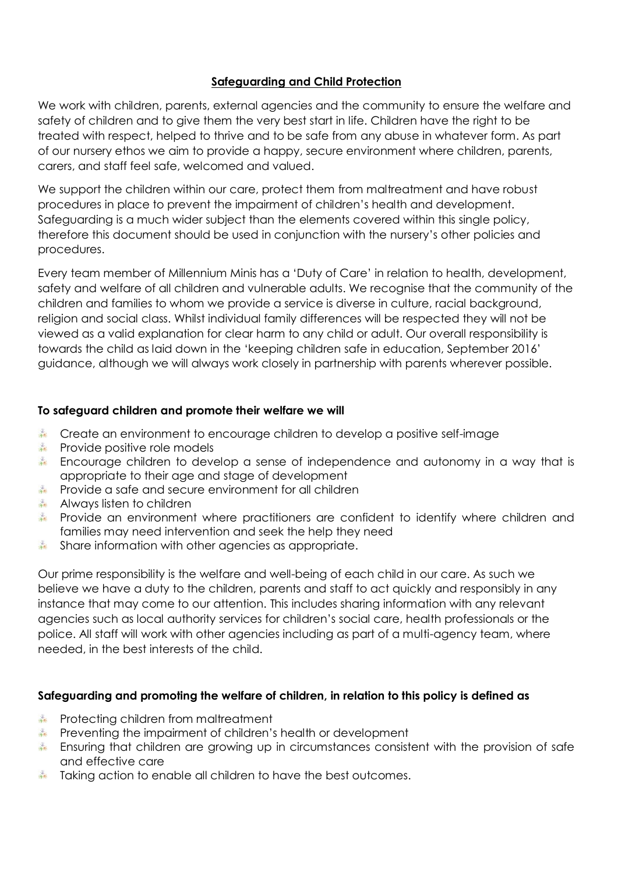# **Safeguarding and Child Protection**

We work with children, parents, external agencies and the community to ensure the welfare and safety of children and to give them the very best start in life. Children have the right to be treated with respect, helped to thrive and to be safe from any abuse in whatever form. As part of our nursery ethos we aim to provide a happy, secure environment where children, parents, carers, and staff feel safe, welcomed and valued.

We support the children within our care, protect them from maltreatment and have robust procedures in place to prevent the impairment of children's health and development. Safeguarding is a much wider subject than the elements covered within this single policy, therefore this document should be used in conjunction with the nursery's other policies and procedures.

Every team member of Millennium Minis has a 'Duty of Care' in relation to health, development, safety and welfare of all children and vulnerable adults. We recognise that the community of the children and families to whom we provide a service is diverse in culture, racial background, religion and social class. Whilst individual family differences will be respected they will not be viewed as a valid explanation for clear harm to any child or adult. Our overall responsibility is towards the child as laid down in the 'keeping children safe in education, September 2016' guidance, although we will always work closely in partnership with parents wherever possible.

### **To safeguard children and promote their welfare we will**

- Create an environment to encourage children to develop a positive self-image
- **Provide positive role models**
- Encourage children to develop a sense of independence and autonomy in a way that is appropriate to their age and stage of development
- Provide a safe and secure environment for all children
- Always listen to children
- Provide an environment where practitioners are confident to identify where children and families may need intervention and seek the help they need
- Share information with other agencies as appropriate.

Our prime responsibility is the welfare and well-being of each child in our care. As such we believe we have a duty to the children, parents and staff to act quickly and responsibly in any instance that may come to our attention. This includes sharing information with any relevant agencies such as local authority services for children's social care, health professionals or the police. All staff will work with other agencies including as part of a multi-agency team, where needed, in the best interests of the child.

### **Safeguarding and promoting the welfare of children, in relation to this policy is defined as**

- **Protecting children from maltreatment**
- Preventing the impairment of children's health or development
- Ensuring that children are growing up in circumstances consistent with the provision of safe and effective care
- Taking action to enable all children to have the best outcomes.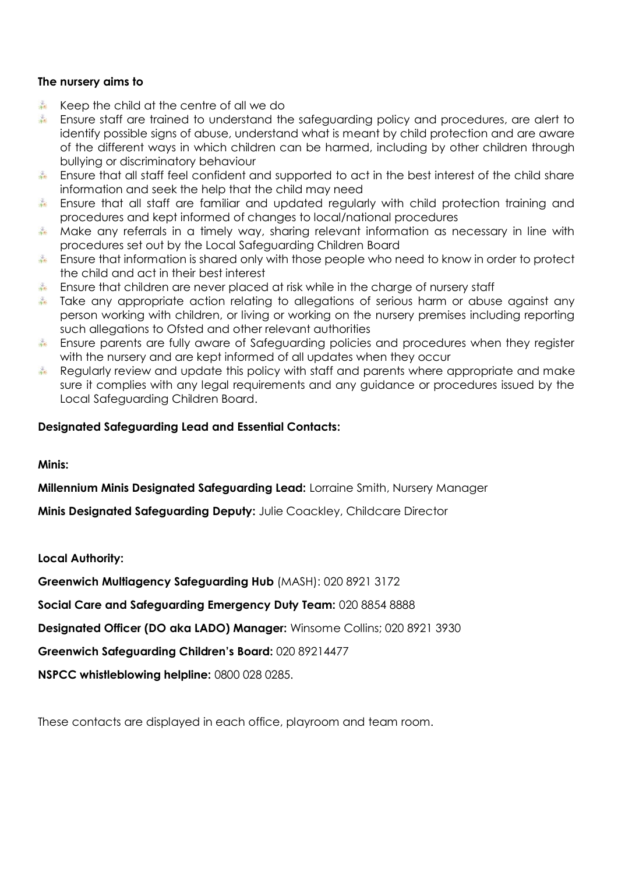### **The nursery aims to**

- Keep the child at the centre of all we do
- Ensure staff are trained to understand the safeguarding policy and procedures, are alert to identify possible signs of abuse, understand what is meant by child protection and are aware of the different ways in which children can be harmed, including by other children through bullying or discriminatory behaviour
- Ensure that all staff feel confident and supported to act in the best interest of the child share information and seek the help that the child may need
- Ensure that all staff are familiar and updated regularly with child protection training and procedures and kept informed of changes to local/national procedures
- Make any referrals in a timely way, sharing relevant information as necessary in line with procedures set out by the Local Safeguarding Children Board
- Ensure that information is shared only with those people who need to know in order to protect the child and act in their best interest
- Ensure that children are never placed at risk while in the charge of nursery staff
- Take any appropriate action relating to allegations of serious harm or abuse against any person working with children, or living or working on the nursery premises including reporting such allegations to Ofsted and other relevant authorities
- Ensure parents are fully aware of Safeguarding policies and procedures when they register with the nursery and are kept informed of all updates when they occur
- Regularly review and update this policy with staff and parents where appropriate and make sure it complies with any legal requirements and any guidance or procedures issued by the Local Safeguarding Children Board.

### **Designated Safeguarding Lead and Essential Contacts:**

**Minis:**

**Millennium Minis Designated Safeguarding Lead:** Lorraine Smith, Nursery Manager

**Minis Designated Safeguarding Deputy:** Julie Coackley, Childcare Director

**Local Authority:**

**Greenwich Multiagency Safeguarding Hub** (MASH): 020 8921 3172

**Social Care and Safeguarding Emergency Duty Team:** 020 8854 8888

**Designated Officer (DO aka LADO) Manager:** Winsome Collins; 020 8921 3930

**Greenwich Safeguarding Children's Board:** 020 89214477

**NSPCC whistleblowing helpline:** 0800 028 0285.

These contacts are displayed in each office, playroom and team room.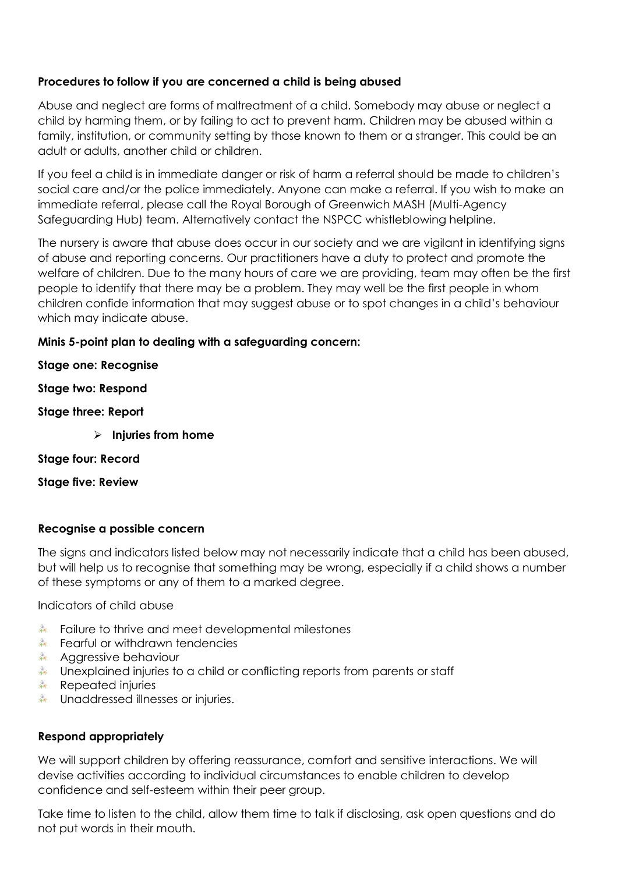### **Procedures to follow if you are concerned a child is being abused**

Abuse and neglect are forms of maltreatment of a child. Somebody may abuse or neglect a child by harming them, or by failing to act to prevent harm. Children may be abused within a family, institution, or community setting by those known to them or a stranger. This could be an adult or adults, another child or children.

If you feel a child is in immediate danger or risk of harm a referral should be made to children's social care and/or the police immediately. Anyone can make a referral. If you wish to make an immediate referral, please call the Royal Borough of Greenwich MASH (Multi-Agency Safeguarding Hub) team. Alternatively contact the NSPCC whistleblowing helpline.

The nursery is aware that abuse does occur in our society and we are vigilant in identifying signs of abuse and reporting concerns. Our practitioners have a duty to protect and promote the welfare of children. Due to the many hours of care we are providing, team may often be the first people to identify that there may be a problem. They may well be the first people in whom children confide information that may suggest abuse or to spot changes in a child's behaviour which may indicate abuse.

### **Minis 5-point plan to dealing with a safeguarding concern:**

### **Stage one: Recognise**

#### **Stage two: Respond**

### **Stage three: Report**

➢ **Injuries from home**

### **Stage four: Record**

### **Stage five: Review**

### **Recognise a possible concern**

The signs and indicators listed below may not necessarily indicate that a child has been abused, but will help us to recognise that something may be wrong, especially if a child shows a number of these symptoms or any of them to a marked degree.

Indicators of child abuse

- **Failure to thrive and meet developmental milestones**
- Fearful or withdrawn tendencies
- Aggressive behaviour
- Unexplained injuries to a child or conflicting reports from parents or staff
- **Repeated injuries**
- Unaddressed illnesses or injuries.

### **Respond appropriately**

We will support children by offering reassurance, comfort and sensitive interactions. We will devise activities according to individual circumstances to enable children to develop confidence and self-esteem within their peer group.

Take time to listen to the child, allow them time to talk if disclosing, ask open questions and do not put words in their mouth.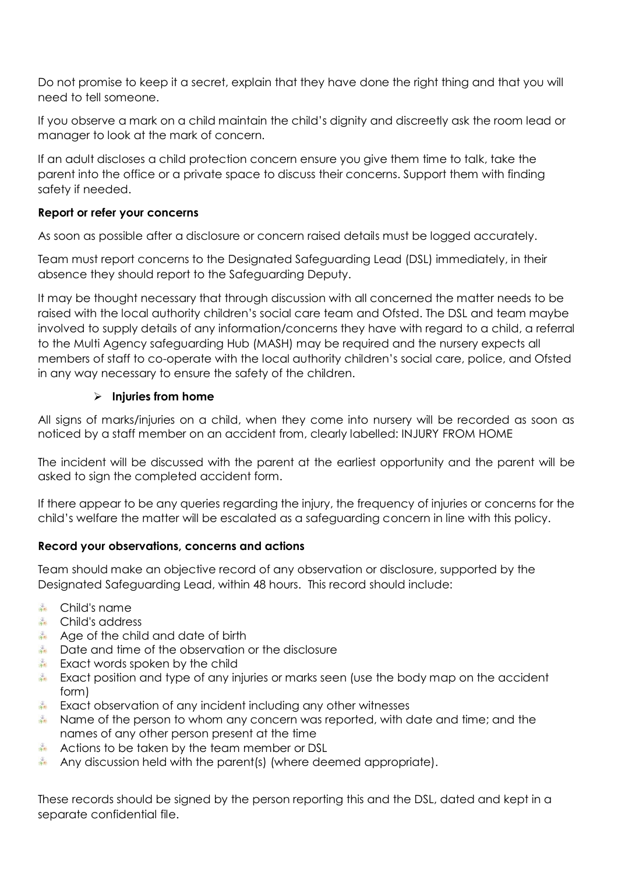Do not promise to keep it a secret, explain that they have done the right thing and that you will need to tell someone.

If you observe a mark on a child maintain the child's dignity and discreetly ask the room lead or manager to look at the mark of concern.

If an adult discloses a child protection concern ensure you give them time to talk, take the parent into the office or a private space to discuss their concerns. Support them with finding safety if needed.

### **Report or refer your concerns**

As soon as possible after a disclosure or concern raised details must be logged accurately.

Team must report concerns to the Designated Safeguarding Lead (DSL) immediately, in their absence they should report to the Safeguarding Deputy.

It may be thought necessary that through discussion with all concerned the matter needs to be raised with the local authority children's social care team and Ofsted. The DSL and team maybe involved to supply details of any information/concerns they have with regard to a child, a referral to the Multi Agency safeguarding Hub (MASH) may be required and the nursery expects all members of staff to co-operate with the local authority children's social care, police, and Ofsted in any way necessary to ensure the safety of the children.

### ➢ **Injuries from home**

All signs of marks/injuries on a child, when they come into nursery will be recorded as soon as noticed by a staff member on an accident from, clearly labelled: INJURY FROM HOME

The incident will be discussed with the parent at the earliest opportunity and the parent will be asked to sign the completed accident form.

If there appear to be any queries regarding the injury, the frequency of injuries or concerns for the child's welfare the matter will be escalated as a safeguarding concern in line with this policy.

# **Record your observations, concerns and actions**

Team should make an objective record of any observation or disclosure, supported by the Designated Safeguarding Lead, within 48 hours. This record should include:

- **Example 1** Child's name
- **Example 2** Child's address
- Age of the child and date of birth
- Date and time of the observation or the disclosure
- **Exact words spoken by the child**
- Exact position and type of any injuries or marks seen (use the body map on the accident form)
- Exact observation of any incident including any other witnesses
- Name of the person to whom any concern was reported, with date and time; and the names of any other person present at the time
- Actions to be taken by the team member or DSL
- Any discussion held with the parent(s) (where deemed appropriate).

These records should be signed by the person reporting this and the DSL, dated and kept in a separate confidential file.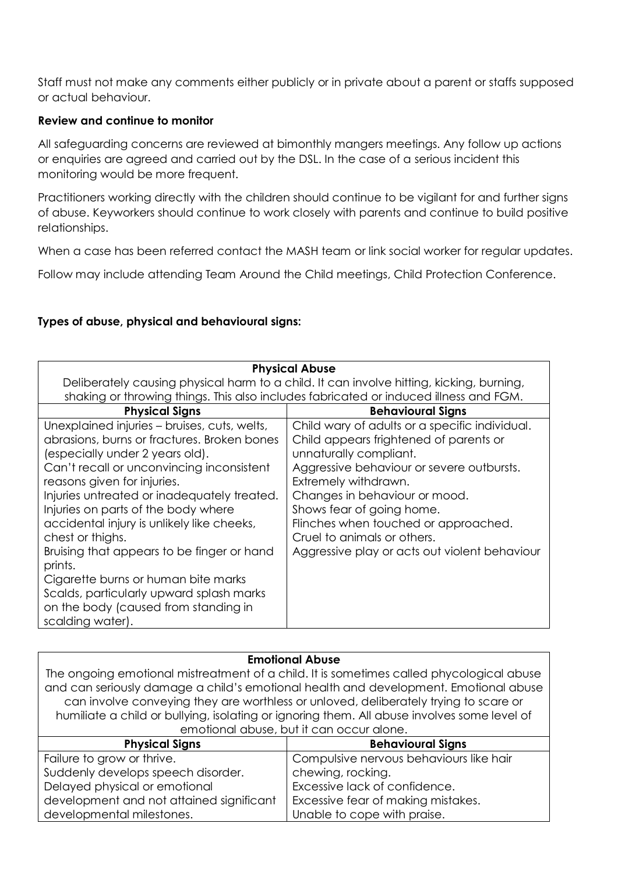Staff must not make any comments either publicly or in private about a parent or staffs supposed or actual behaviour.

### **Review and continue to monitor**

All safeguarding concerns are reviewed at bimonthly mangers meetings. Any follow up actions or enquiries are agreed and carried out by the DSL. In the case of a serious incident this monitoring would be more frequent.

Practitioners working directly with the children should continue to be vigilant for and further signs of abuse. Keyworkers should continue to work closely with parents and continue to build positive relationships.

When a case has been referred contact the MASH team or link social worker for regular updates.

Follow may include attending Team Around the Child meetings, Child Protection Conference.

# **Types of abuse, physical and behavioural signs:**

| <b>Physical Abuse</b>                                                                                                                                                                                                                                                                                                                                                                                                                                                                                                                                  |                                                                                                                                                                                                                                                                                                                                                                               |  |
|--------------------------------------------------------------------------------------------------------------------------------------------------------------------------------------------------------------------------------------------------------------------------------------------------------------------------------------------------------------------------------------------------------------------------------------------------------------------------------------------------------------------------------------------------------|-------------------------------------------------------------------------------------------------------------------------------------------------------------------------------------------------------------------------------------------------------------------------------------------------------------------------------------------------------------------------------|--|
| Deliberately causing physical harm to a child. It can involve hitting, kicking, burning,                                                                                                                                                                                                                                                                                                                                                                                                                                                               |                                                                                                                                                                                                                                                                                                                                                                               |  |
| shaking or throwing things. This also includes fabricated or induced illness and FGM.                                                                                                                                                                                                                                                                                                                                                                                                                                                                  |                                                                                                                                                                                                                                                                                                                                                                               |  |
| <b>Physical Signs</b>                                                                                                                                                                                                                                                                                                                                                                                                                                                                                                                                  | <b>Behavioural Signs</b>                                                                                                                                                                                                                                                                                                                                                      |  |
| Unexplained injuries – bruises, cuts, welts,<br>abrasions, burns or fractures. Broken bones<br>(especially under 2 years old).<br>Can't recall or unconvincing inconsistent<br>reasons given for injuries.<br>Injuries untreated or inadequately treated.<br>Injuries on parts of the body where<br>accidental injury is unlikely like cheeks,<br>chest or thighs.<br>Bruising that appears to be finger or hand<br>prints.<br>Cigarette burns or human bite marks<br>Scalds, particularly upward splash marks<br>on the body (caused from standing in | Child wary of adults or a specific individual.<br>Child appears frightened of parents or<br>unnaturally compliant.<br>Aggressive behaviour or severe outbursts.<br>Extremely withdrawn.<br>Changes in behaviour or mood.<br>Shows fear of going home.<br>Flinches when touched or approached.<br>Cruel to animals or others.<br>Aggressive play or acts out violent behaviour |  |
| scalding water).                                                                                                                                                                                                                                                                                                                                                                                                                                                                                                                                       |                                                                                                                                                                                                                                                                                                                                                                               |  |

| <b>Emotional Abuse</b>                                                                      |                                         |  |
|---------------------------------------------------------------------------------------------|-----------------------------------------|--|
| The ongoing emotional mistreatment of a child. It is sometimes called phycological abuse    |                                         |  |
| and can seriously damage a child's emotional health and development. Emotional abuse        |                                         |  |
| can involve conveying they are worthless or unloved, deliberately trying to scare or        |                                         |  |
| humiliate a child or bullying, isolating or ignoring them. All abuse involves some level of |                                         |  |
| emotional abuse, but it can occur alone.                                                    |                                         |  |
| <b>Physical Signs</b>                                                                       | <b>Behavioural Signs</b>                |  |
| Failure to grow or thrive.                                                                  | Compulsive nervous behaviours like hair |  |
| Suddenly develops speech disorder.                                                          | chewing, rocking.                       |  |
| Delayed physical or emotional                                                               | Excessive lack of confidence.           |  |
| development and not attained significant                                                    | Excessive fear of making mistakes.      |  |
| developmental milestones.                                                                   | Unable to cope with praise.             |  |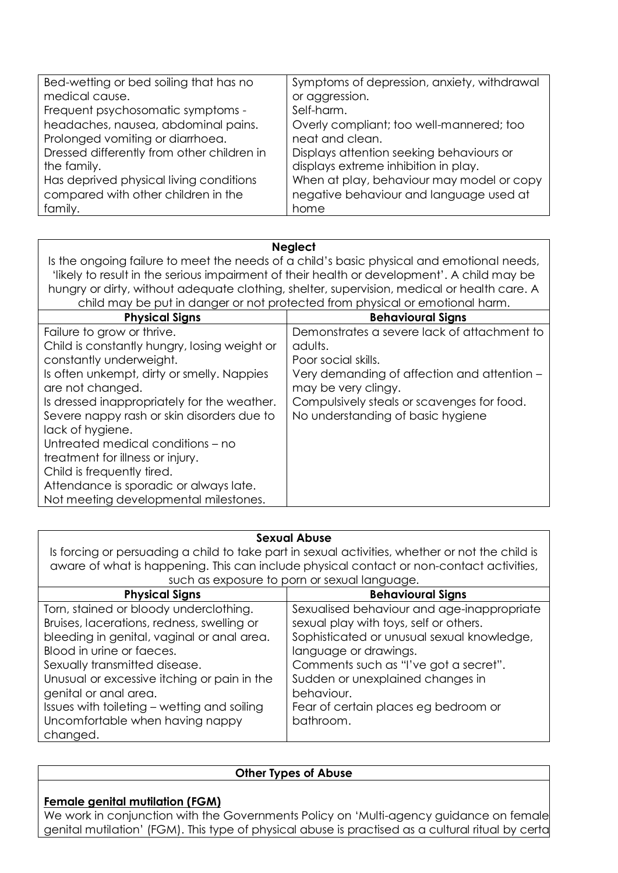| Bed-wetting or bed soiling that has no     | Symptoms of depression, anxiety, withdrawal |
|--------------------------------------------|---------------------------------------------|
| medical cause.                             | or aggression.                              |
| Frequent psychosomatic symptoms -          | Self-harm.                                  |
| headaches, nausea, abdominal pains.        | Overly compliant; too well-mannered; too    |
| Prolonged vomiting or diarrhoea.           | neat and clean.                             |
| Dressed differently from other children in | Displays attention seeking behaviours or    |
| the family.                                | displays extreme inhibition in play.        |
| Has deprived physical living conditions    | When at play, behaviour may model or copy   |
| compared with other children in the        | negative behaviour and language used at     |
| family.                                    | home                                        |

#### **Neglect**

Is the ongoing failure to meet the needs of a child's basic physical and emotional needs, 'likely to result in the serious impairment of their health or development'. A child may be hungry or dirty, without adequate clothing, shelter, supervision, medical or health care. A child may be put in danger or not protected from physical or emotional harm.

| <b>Physical Signs</b>                        | <b>Behavioural Signs</b>                    |
|----------------------------------------------|---------------------------------------------|
| Failure to grow or thrive.                   | Demonstrates a severe lack of attachment to |
| Child is constantly hungry, losing weight or | adults.                                     |
| constantly underweight.                      | Poor social skills.                         |
| Is often unkempt, dirty or smelly. Nappies   | Very demanding of affection and attention - |
| are not changed.                             | may be very clingy.                         |
| Is dressed inappropriately for the weather.  | Compulsively steals or scavenges for food.  |
| Severe nappy rash or skin disorders due to   | No understanding of basic hygiene           |
| lack of hygiene.                             |                                             |
| Untreated medical conditions – no            |                                             |
| treatment for illness or injury.             |                                             |
| Child is frequently tired.                   |                                             |
| Attendance is sporadic or always late.       |                                             |
| Not meeting developmental milestones.        |                                             |

#### **Sexual Abuse**

Is forcing or persuading a child to take part in sexual activities, whether or not the child is aware of what is happening. This can include physical contact or non-contact activities, such as exposure to porn or sexual language.

| <b>Physical Signs</b>                       | <b>Behavioural Signs</b>                   |
|---------------------------------------------|--------------------------------------------|
| Torn, stained or bloody underclothing.      | Sexualised behaviour and age-inappropriate |
| Bruises, lacerations, redness, swelling or  | sexual play with toys, self or others.     |
| bleeding in genital, vaginal or anal area.  | Sophisticated or unusual sexual knowledge, |
| Blood in urine or faeces.                   | language or drawings.                      |
| Sexually transmitted disease.               | Comments such as "I've got a secret".      |
| Unusual or excessive itching or pain in the | Sudden or unexplained changes in           |
| genital or anal area.                       | behaviour.                                 |
| Issues with toileting - wetting and soiling | Fear of certain places eg bedroom or       |
| Uncomfortable when having nappy             | bathroom.                                  |
| changed.                                    |                                            |

### **Other Types of Abuse**

# **Female genital mutilation (FGM)**

We work in conjunction with the Governments Policy on 'Multi-agency guidance on female genital mutilation' (FGM). This type of physical abuse is practised as a cultural ritual by certaing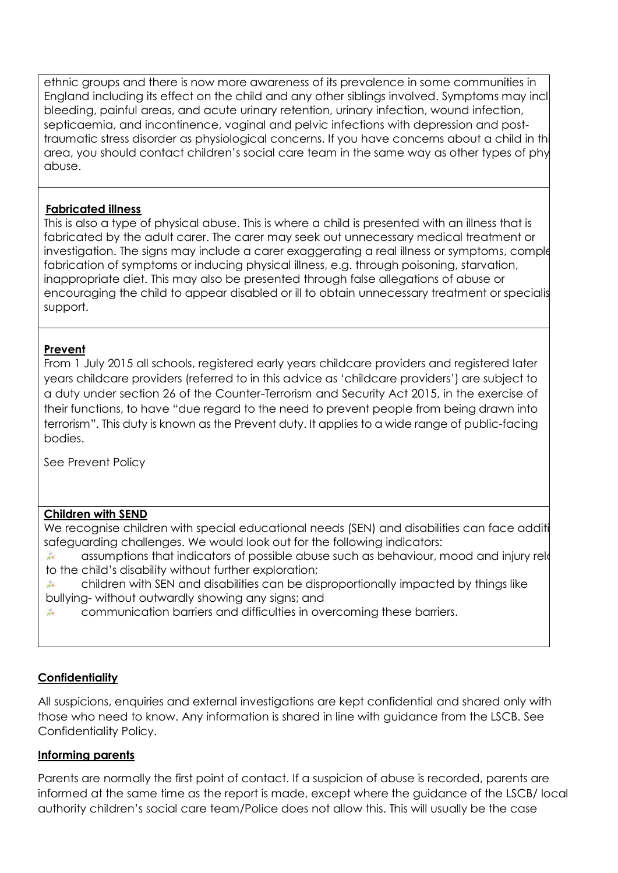ethnic groups and there is now more awareness of its prevalence in some communities in England including its effect on the child and any other siblings involved. Symptoms may incl bleeding, painful areas, and acute urinary retention, urinary infection, wound infection, septicaemia, and incontinence, vaginal and pelvic infections with depression and posttraumatic stress disorder as physiological concerns. If you have concerns about a child in this area, you should contact children's social care team in the same way as other types of phy abuse.

### **Fabricated illness**

This is also a type of physical abuse. This is where a child is presented with an illness that is fabricated by the adult carer. The carer may seek out unnecessary medical treatment or investigation. The signs may include a carer exaggerating a real illness or symptoms, comple fabrication of symptoms or inducing physical illness, e.g. through poisoning, starvation, inappropriate diet. This may also be presented through false allegations of abuse or encouraging the child to appear disabled or ill to obtain unnecessary treatment or specialistic ncouraging support.

### **Prevent**

From 1 July 2015 all schools, registered early years childcare providers and registered later years childcare providers (referred to in this advice as 'childcare providers') are subject to a duty under section 26 of the Counter-Terrorism and Security Act 2015, in the exercise of their functions, to have "due regard to the need to prevent people from being drawn into terrorism". This duty is known as the Prevent duty. It applies to a wide range of public-facing bodies.

See Prevent Policy

### **Children with SEND**

We recognise children with special educational needs (SEN) and disabilities can face additional recognise safeguarding challenges. We would look out for the following indicators:

→ 长 assumptions that indicators of possible abuse such as behaviour, mood and injury related to the child's disability without further exploration;

children with SEN and disabilities can be disproportionally impacted by things like  $\frac{1}{2}$ bullying- without outwardly showing any signs; and

清长 communication barriers and difficulties in overcoming these barriers.

# **Confidentiality**

All suspicions, enquiries and external investigations are kept confidential and shared only with those who need to know. Any information is shared in line with guidance from the LSCB. See Confidentiality Policy.

### **Informing parents**

Parents are normally the first point of contact. If a suspicion of abuse is recorded, parents are informed at the same time as the report is made, except where the guidance of the LSCB/ local authority children's social care team/Police does not allow this. This will usually be the case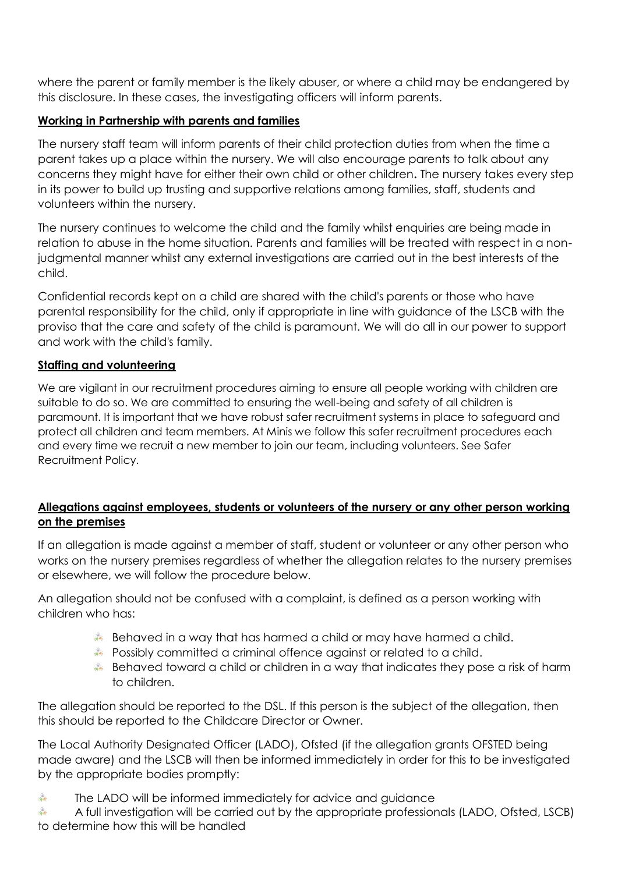where the parent or family member is the likely abuser, or where a child may be endangered by this disclosure. In these cases, the investigating officers will inform parents.

# **Working in Partnership with parents and families**

The nursery staff team will inform parents of their child protection duties from when the time a parent takes up a place within the nursery. We will also encourage parents to talk about any concerns they might have for either their own child or other children**.** The nursery takes every step in its power to build up trusting and supportive relations among families, staff, students and volunteers within the nursery.

The nursery continues to welcome the child and the family whilst enquiries are being made in relation to abuse in the home situation. Parents and families will be treated with respect in a nonjudgmental manner whilst any external investigations are carried out in the best interests of the child.

Confidential records kept on a child are shared with the child's parents or those who have parental responsibility for the child, only if appropriate in line with guidance of the LSCB with the proviso that the care and safety of the child is paramount. We will do all in our power to support and work with the child's family.

### **Staffing and volunteering**

We are vigilant in our recruitment procedures aiming to ensure all people working with children are suitable to do so. We are committed to ensuring the well-being and safety of all children is paramount. It is important that we have robust safer recruitment systems in place to safeguard and protect all children and team members. At Minis we follow this safer recruitment procedures each and every time we recruit a new member to join our team, including volunteers. See Safer Recruitment Policy.

### **Allegations against employees, students or volunteers of the nursery or any other person working on the premises**

If an allegation is made against a member of staff, student or volunteer or any other person who works on the nursery premises regardless of whether the allegation relates to the nursery premises or elsewhere, we will follow the procedure below.

An allegation should not be confused with a complaint, is defined as a person working with children who has:

- Behaved in a way that has harmed a child or may have harmed a child.
- Possibly committed a criminal offence against or related to a child.
- Behaved toward a child or children in a way that indicates they pose a risk of harm to children.

The allegation should be reported to the DSL. If this person is the subject of the allegation, then this should be reported to the Childcare Director or Owner.

The Local Authority Designated Officer (LADO), Ofsted (if the allegation grants OFSTED being made aware) and the LSCB will then be informed immediately in order for this to be investigated by the appropriate bodies promptly:

 $\frac{1}{2}$ The LADO will be informed immediately for advice and guidance

 $\frac{1}{2}$ A full investigation will be carried out by the appropriate professionals (LADO, Ofsted, LSCB) to determine how this will be handled